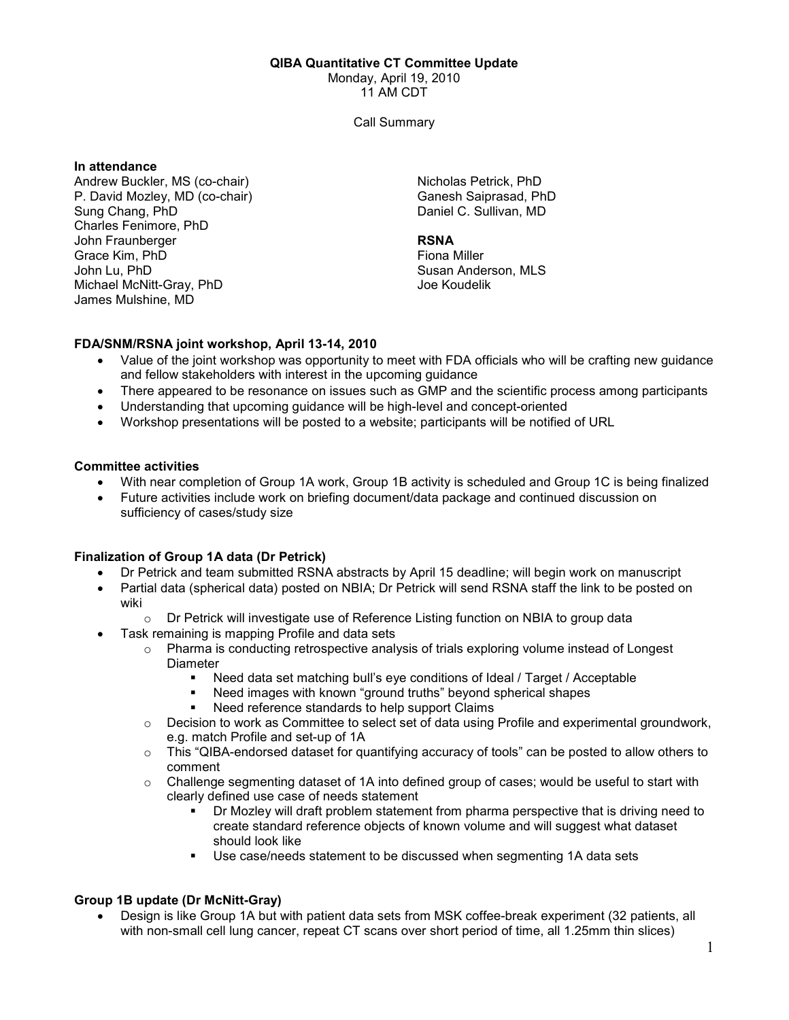#### QIBA Quantitative CT Committee Update

Monday, April 19, 2010

11 AM CDT

Call Summary

#### In attendance

Andrew Buckler, MS (co-chair) P. David Mozley, MD (co-chair) Sung Chang, PhD Charles Fenimore, PhD John Fraunberger Grace Kim, PhD John Lu, PhD Michael McNitt-Gray, PhD James Mulshine, MD

Nicholas Petrick, PhD Ganesh Saiprasad, PhD Daniel C. Sullivan, MD

### **RSNA**

Fiona Miller Susan Anderson, MLS Joe Koudelik

## FDA/SNM/RSNA joint workshop, April 13-14, 2010

- Value of the joint workshop was opportunity to meet with FDA officials who will be crafting new guidance and fellow stakeholders with interest in the upcoming guidance
- There appeared to be resonance on issues such as GMP and the scientific process among participants
- Understanding that upcoming guidance will be high-level and concept-oriented
- Workshop presentations will be posted to a website; participants will be notified of URL

### Committee activities

- With near completion of Group 1A work, Group 1B activity is scheduled and Group 1C is being finalized
- Future activities include work on briefing document/data package and continued discussion on sufficiency of cases/study size

## Finalization of Group 1A data (Dr Petrick)

- Dr Petrick and team submitted RSNA abstracts by April 15 deadline; will begin work on manuscript
- Partial data (spherical data) posted on NBIA; Dr Petrick will send RSNA staff the link to be posted on wiki
	- $\circ$  Dr Petrick will investigate use of Reference Listing function on NBIA to group data
- Task remaining is mapping Profile and data sets
	- $\circ$  Pharma is conducting retrospective analysis of trials exploring volume instead of Longest **Diameter** 
		- Need data set matching bull's eye conditions of Ideal / Target / Acceptable
		- Need images with known "ground truths" beyond spherical shapes
		- Need reference standards to help support Claims
	- o Decision to work as Committee to select set of data using Profile and experimental groundwork, e.g. match Profile and set-up of 1A
	- $\circ$  This "QIBA-endorsed dataset for quantifying accuracy of tools" can be posted to allow others to comment
	- $\circ$  Challenge segmenting dataset of 1A into defined group of cases; would be useful to start with clearly defined use case of needs statement
		- Dr Mozley will draft problem statement from pharma perspective that is driving need to create standard reference objects of known volume and will suggest what dataset should look like
		- Use case/needs statement to be discussed when segmenting 1A data sets

## Group 1B update (Dr McNitt-Gray)

• Design is like Group 1A but with patient data sets from MSK coffee-break experiment (32 patients, all with non-small cell lung cancer, repeat CT scans over short period of time, all 1.25mm thin slices)